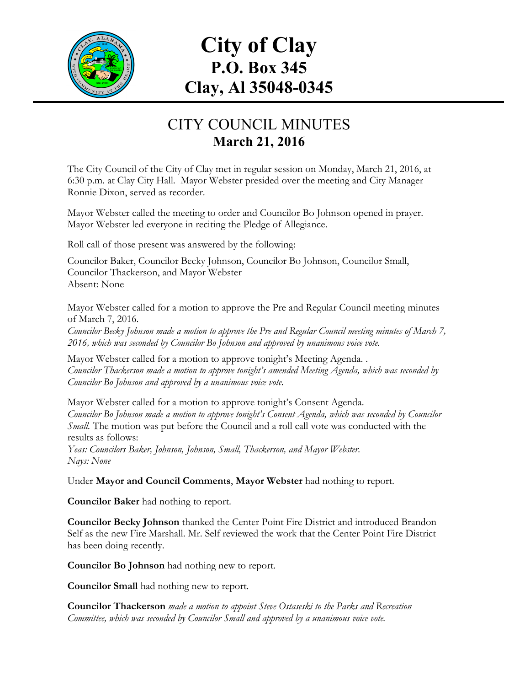

## **City of Clay P.O. Box 345 Clay, Al 35048-0345**

## CITY COUNCIL MINUTES **March 21, 2016**

The City Council of the City of Clay met in regular session on Monday, March 21, 2016, at 6:30 p.m. at Clay City Hall. Mayor Webster presided over the meeting and City Manager Ronnie Dixon, served as recorder.

Mayor Webster called the meeting to order and Councilor Bo Johnson opened in prayer. Mayor Webster led everyone in reciting the Pledge of Allegiance.

Roll call of those present was answered by the following:

Councilor Baker, Councilor Becky Johnson, Councilor Bo Johnson, Councilor Small, Councilor Thackerson, and Mayor Webster Absent: None

Mayor Webster called for a motion to approve the Pre and Regular Council meeting minutes of March 7, 2016.

*Councilor Becky Johnson made a motion to approve the Pre and Regular Council meeting minutes of March 7, 2016, which was seconded by Councilor Bo Johnson and approved by unanimous voice vote.*

Mayor Webster called for a motion to approve tonight's Meeting Agenda. . *Councilor Thackerson made a motion to approve tonight's amended Meeting Agenda, which was seconded by Councilor Bo Johnson and approved by a unanimous voice vote.*

Mayor Webster called for a motion to approve tonight's Consent Agenda. *Councilor Bo Johnson made a motion to approve tonight's Consent Agenda, which was seconded by Councilor Small.* The motion was put before the Council and a roll call vote was conducted with the results as follows:

*Yeas: Councilors Baker, Johnson, Johnson, Small, Thackerson, and Mayor Webster. Nays: None*

Under **Mayor and Council Comments**, **Mayor Webster** had nothing to report.

**Councilor Baker** had nothing to report.

**Councilor Becky Johnson** thanked the Center Point Fire District and introduced Brandon Self as the new Fire Marshall. Mr. Self reviewed the work that the Center Point Fire District has been doing recently.

**Councilor Bo Johnson** had nothing new to report.

**Councilor Small** had nothing new to report.

**Councilor Thackerson** *made a motion to appoint Steve Ostaseski to the Parks and Recreation Committee, which was seconded by Councilor Small and approved by a unanimous voice vote.*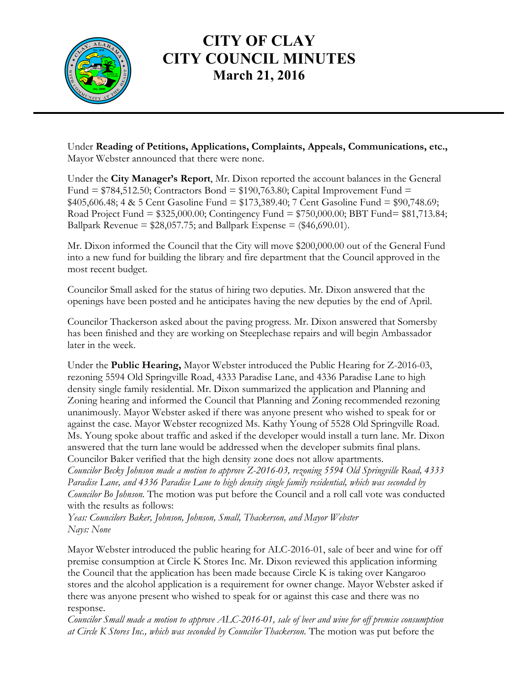

## **CITY OF CLAY CITY COUNCIL MINUTES March 21, 2016**

Under **Reading of Petitions, Applications, Complaints, Appeals, Communications, etc.,** Mayor Webster announced that there were none.

Under the **City Manager's Report**, Mr. Dixon reported the account balances in the General Fund =  $$784,512.50$ ; Contractors Bond =  $$190,763.80$ ; Capital Improvement Fund = \$405,606.48; 4 & 5 Cent Gasoline Fund = \$173,389.40; 7 Cent Gasoline Fund = \$90,748.69; Road Project Fund = \$325,000.00; Contingency Fund = \$750,000.00; BBT Fund= \$81,713.84; Ballpark Revenue =  $$28,057.75$ ; and Ballpark Expense =  $$46,690.01$ ).

Mr. Dixon informed the Council that the City will move \$200,000.00 out of the General Fund into a new fund for building the library and fire department that the Council approved in the most recent budget.

Councilor Small asked for the status of hiring two deputies. Mr. Dixon answered that the openings have been posted and he anticipates having the new deputies by the end of April.

Councilor Thackerson asked about the paving progress. Mr. Dixon answered that Somersby has been finished and they are working on Steeplechase repairs and will begin Ambassador later in the week.

Under the **Public Hearing,** Mayor Webster introduced the Public Hearing for Z-2016-03, rezoning 5594 Old Springville Road, 4333 Paradise Lane, and 4336 Paradise Lane to high density single family residential. Mr. Dixon summarized the application and Planning and Zoning hearing and informed the Council that Planning and Zoning recommended rezoning unanimously. Mayor Webster asked if there was anyone present who wished to speak for or against the case. Mayor Webster recognized Ms. Kathy Young of 5528 Old Springville Road. Ms. Young spoke about traffic and asked if the developer would install a turn lane. Mr. Dixon answered that the turn lane would be addressed when the developer submits final plans. Councilor Baker verified that the high density zone does not allow apartments.

*Councilor Becky Johnson made a motion to approve Z-2016-03, rezoning 5594 Old Springville Road, 4333 Paradise Lane, and 4336 Paradise Lane to high density single family residential, which was seconded by Councilor Bo Johnson.* The motion was put before the Council and a roll call vote was conducted with the results as follows:

*Yeas: Councilors Baker, Johnson, Johnson, Small, Thackerson, and Mayor Webster Nays: None*

Mayor Webster introduced the public hearing for ALC-2016-01, sale of beer and wine for off premise consumption at Circle K Stores Inc. Mr. Dixon reviewed this application informing the Council that the application has been made because Circle K is taking over Kangaroo stores and the alcohol application is a requirement for owner change. Mayor Webster asked if there was anyone present who wished to speak for or against this case and there was no response.

*Councilor Small made a motion to approve ALC-2016-01, sale of beer and wine for off premise consumption at Circle K Stores Inc., which was seconded by Councilor Thackerson.* The motion was put before the